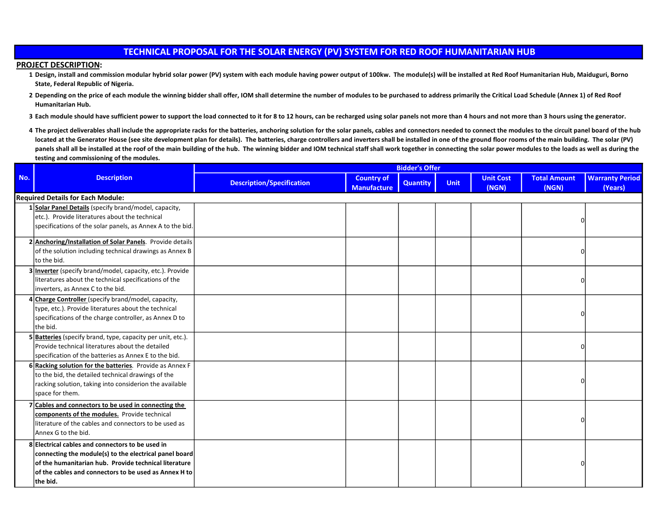## TECHNICAL PROPOSAL FOR THE SOLAR ENERGY (PV) SYSTEM FOR RED ROOF HUMANITARIAN HUB

## PROJECT DESCRIPTION:

- 1 Design, install and commission modular hybrid solar power (PV) system with each module having power output of 100kw. The module(s) will be installed at Red Roof Humanitarian Hub, Maiduguri, Borno State, Federal Republic of Nigeria.
- 2 Depending on the price of each module the winning bidder shall offer, IOM shall determine the number of modules to be purchased to address primarily the Critical Load Schedule (Annex 1) of Red Roof Humanitarian Hub.
- 3 Each module should have sufficient power to support the load connected to it for 8 to 12 hours, can be recharged using solar panels not more than 4 hours and not more than 3 hours using the generator.
- 4 The project deliverables shall include the appropriate racks for the batteries, anchoring solution for the solar panels, cables and connectors needed to connect the modules to the circuit panel board of the hub located at the Generator House (see site development plan for details). The batteries, charge controllers and inverters shall be installed in one of the ground floor rooms of the main building. The solar (PV) panels shall all be installed at the roof of the main building of the hub. The winning bidder and IOM technical staff shall work together in connecting the solar power modules to the loads as well as during the testing and commissioning of the modules.

|                                          |                                                                                                                                                                                                                                                  |                                  |                                         | <b>Bidder's Offer</b> |             |                           |                              |                                   |
|------------------------------------------|--------------------------------------------------------------------------------------------------------------------------------------------------------------------------------------------------------------------------------------------------|----------------------------------|-----------------------------------------|-----------------------|-------------|---------------------------|------------------------------|-----------------------------------|
| No.                                      | <b>Description</b>                                                                                                                                                                                                                               | <b>Description/Specification</b> | <b>Country of</b><br><b>Manufacture</b> | <b>Quantity</b>       | <b>Unit</b> | <b>Unit Cost</b><br>(NGN) | <b>Total Amount</b><br>(NGN) | <b>Warranty Period</b><br>(Years) |
| <b>Required Details for Each Module:</b> |                                                                                                                                                                                                                                                  |                                  |                                         |                       |             |                           |                              |                                   |
|                                          | 1 Solar Panel Details (specify brand/model, capacity,<br>etc.). Provide literatures about the technical<br>specifications of the solar panels, as Annex A to the bid.                                                                            |                                  |                                         |                       |             |                           |                              |                                   |
|                                          | 2 Anchoring/Installation of Solar Panels. Provide details<br>of the solution including technical drawings as Annex B<br>to the bid.                                                                                                              |                                  |                                         |                       |             |                           | U                            |                                   |
|                                          | 3 Inverter (specify brand/model, capacity, etc.). Provide<br>literatures about the technical specifications of the<br>inverters, as Annex C to the bid.                                                                                          |                                  |                                         |                       |             |                           | n                            |                                   |
|                                          | 4 Charge Controller (specify brand/model, capacity,<br>type, etc.). Provide literatures about the technical<br>specifications of the charge controller, as Annex D to<br>the bid.                                                                |                                  |                                         |                       |             |                           | n                            |                                   |
|                                          | 5 Batteries (specify brand, type, capacity per unit, etc.).<br>Provide technical literatures about the detailed<br>specification of the batteries as Annex E to the bid.                                                                         |                                  |                                         |                       |             |                           | U                            |                                   |
|                                          | 6 Racking solution for the batteries. Provide as Annex F<br>to the bid, the detailed technical drawings of the<br>racking solution, taking into considerion the available<br>space for them.                                                     |                                  |                                         |                       |             |                           | U                            |                                   |
|                                          | $7$ Cables and connectors to be used in connecting the<br>components of the modules. Provide technical<br>literature of the cables and connectors to be used as<br>Annex G to the bid.                                                           |                                  |                                         |                       |             |                           |                              |                                   |
|                                          | 8 Electrical cables and connectors to be used in<br>connecting the module(s) to the electrical panel board<br>$\sf{lof}$ the humanitarian hub. Provide technical literature<br>of the cables and connectors to be used as Annex H to<br>the bid. |                                  |                                         |                       |             |                           |                              |                                   |